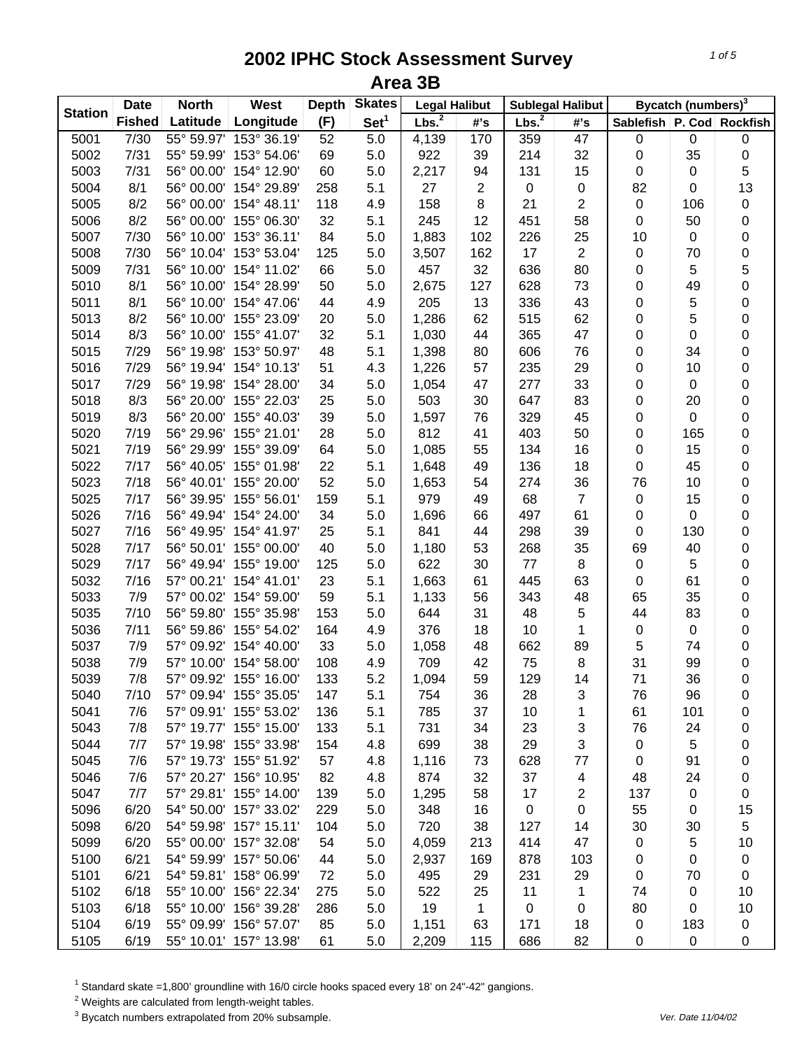| <b>Station</b> | <b>Date</b>   | <b>North</b> | West                   | <b>Depth</b> | <b>Skates</b>    | <b>Legal Halibut</b> |     |                   | <b>Sublegal Halibut</b> |                  | Bycatch (numbers) <sup>3</sup> |                  |
|----------------|---------------|--------------|------------------------|--------------|------------------|----------------------|-----|-------------------|-------------------------|------------------|--------------------------------|------------------|
|                | <b>Fished</b> | Latitude     | Longitude              | (F)          | Set <sup>1</sup> | Lbs. <sup>2</sup>    | #'s | Lbs. <sup>2</sup> | #'s                     | <b>Sablefish</b> |                                | P. Cod Rockfish  |
| 5001           | 7/30          | 55° 59.97'   | 153° 36.19'            | 52           | 5.0              | 4,139                | 170 | 359               | 47                      | $\pmb{0}$        | 0                              | 0                |
| 5002           | 7/31          | 55° 59.99'   | 153° 54.06'            | 69           | 5.0              | 922                  | 39  | 214               | 32                      | 0                | 35                             | 0                |
| 5003           | 7/31          | 56° 00.00'   | 154° 12.90'            | 60           | 5.0              | 2,217                | 94  | 131               | 15                      | 0                | 0                              | 5                |
| 5004           | 8/1           | 56° 00.00'   | 154° 29.89'            | 258          | 5.1              | 27                   | 2   | $\pmb{0}$         | $\pmb{0}$               | 82               | 0                              | 13               |
| 5005           | 8/2           | 56° 00.00'   | 154° 48.11'            | 118          | 4.9              | 158                  | 8   | 21                | $\overline{c}$          | $\pmb{0}$        | 106                            | $\mathbf 0$      |
| 5006           | 8/2           | 56° 00.00'   | 155° 06.30'            | 32           | 5.1              | 245                  | 12  | 451               | 58                      | 0                | 50                             | $\mathbf 0$      |
| 5007           | 7/30          | 56° 10.00'   | 153° 36.11'            | 84           | 5.0              | 1,883                | 102 | 226               | 25                      | 10               | 0                              | $\mathbf 0$      |
| 5008           | 7/30          | 56° 10.04'   | 153° 53.04'            | 125          | 5.0              | 3,507                | 162 | 17                | 2                       | 0                | 70                             | 0                |
| 5009           | 7/31          | 56° 10.00'   | 154° 11.02'            | 66           | 5.0              | 457                  | 32  | 636               | 80                      | 0                | 5                              | 5                |
| 5010           | 8/1           | 56° 10.00'   | 154° 28.99'            | 50           | 5.0              | 2,675                | 127 | 628               | 73                      | 0                | 49                             | $\boldsymbol{0}$ |
| 5011           | 8/1           | 56° 10.00'   | 154° 47.06'            | 44           | 4.9              | 205                  | 13  | 336               | 43                      | 0                | 5                              | $\mathbf 0$      |
| 5013           | 8/2           | 56° 10.00'   | 155° 23.09'            | 20           | 5.0              | 1,286                | 62  | 515               | 62                      | 0                | 5                              | 0                |
| 5014           | 8/3           | 56° 10.00'   | 155° 41.07'            | 32           | 5.1              | 1,030                | 44  | 365               | 47                      | 0                | 0                              | $\mathbf 0$      |
| 5015           | 7/29          | 56° 19.98'   | 153° 50.97'            | 48           | 5.1              | 1,398                | 80  | 606               | 76                      | 0                | 34                             | $\mathbf 0$      |
| 5016           | 7/29          |              | 56° 19.94' 154° 10.13' | 51           | 4.3              | 1,226                | 57  | 235               | 29                      | 0                | 10                             | $\mathbf 0$      |
| 5017           | 7/29          | 56° 19.98'   | 154° 28.00'            | 34           | 5.0              | 1,054                | 47  | 277               | 33                      | 0                | 0                              | 0                |
| 5018           | 8/3           | 56° 20.00'   | 155° 22.03'            | 25           | 5.0              | 503                  | 30  | 647               | 83                      | 0                | 20                             | 0                |
| 5019           | 8/3           | 56° 20.00'   | 155° 40.03'            | 39           | 5.0              | 1,597                | 76  | 329               | 45                      | 0                | 0                              | 0                |
| 5020           | 7/19          | 56° 29.96'   | 155° 21.01'            | 28           | 5.0              | 812                  | 41  | 403               | 50                      | 0                | 165                            | $\mathbf 0$      |
| 5021           | 7/19          | 56° 29.99'   | 155° 39.09'            | 64           | 5.0              | 1,085                | 55  | 134               | 16                      | 0                | 15                             | $\mathbf 0$      |
| 5022           | 7/17          | 56° 40.05'   | 155° 01.98'            | 22           | 5.1              | 1,648                | 49  | 136               | 18                      | 0                | 45                             | $\mathbf 0$      |
| 5023           | 7/18          |              | 56° 40.01' 155° 20.00' | 52           | 5.0              | 1,653                | 54  | 274               | 36                      | 76               | 10                             | $\mathbf 0$      |
| 5025           | 7/17          | 56° 39.95'   | 155° 56.01'            | 159          | 5.1              | 979                  | 49  | 68                | $\overline{7}$          | $\pmb{0}$        | 15                             | $\mathbf 0$      |
| 5026           | 7/16          |              | 56° 49.94' 154° 24.00' | 34           | 5.0              | 1,696                | 66  | 497               | 61                      | 0                | 0                              | $\mathbf 0$      |
| 5027           | 7/16          | 56° 49.95'   | 154° 41.97'            | 25           | 5.1              | 841                  | 44  | 298               | 39                      | 0                | 130                            | 0                |
| 5028           | 7/17          |              | 56° 50.01' 155° 00.00' | 40           | 5.0              | 1,180                | 53  | 268               | 35                      | 69               | 40                             | 0                |
| 5029           | 7/17          |              | 56° 49.94' 155° 19.00' | 125          | 5.0              | 622                  | 30  | 77                | 8                       | 0                | 5                              | 0                |
| 5032           | 7/16          |              | 57° 00.21' 154° 41.01' | 23           | 5.1              | 1,663                | 61  | 445               | 63                      | 0                | 61                             | 0                |
| 5033           | 7/9           |              | 57° 00.02' 154° 59.00' | 59           | 5.1              | 1,133                | 56  | 343               | 48                      | 65               | 35                             | 0                |
| 5035           | 7/10          | 56° 59.80'   | 155° 35.98'            | 153          | 5.0              | 644                  | 31  | 48                | 5                       | 44               | 83                             | 0                |
| 5036           | 7/11          | 56° 59.86'   | 155° 54.02'            | 164          | 4.9              | 376                  | 18  | 10                | 1                       | $\pmb{0}$        | 0                              | 0                |
| 5037           | 7/9           |              | 57° 09.92' 154° 40.00' | 33           | 5.0              | 1,058                | 48  | 662               | 89                      | 5                | 74                             | 0                |
| 5038           | 7/9           | 57° 10.00'   | 154° 58.00'            | 108          | 4.9              | 709                  | 42  | 75                | 8                       | 31               | 99                             | 0                |
| 5039           | 7/8           |              | 57° 09.92' 155° 16.00' | 133          | 5.2              | 1,094                | 59  | 129               | 14                      | 71               | 36                             | $\mathbf 0$      |
| 5040           | 7/10          |              | 57° 09.94' 155° 35.05' | 147          | 5.1              | 754                  | 36  | 28                | 3                       | 76               | 96                             | 0                |
| 5041           | 7/6           |              | 57° 09.91' 155° 53.02' | 136          | 5.1              | 785                  | 37  | 10                | 1                       | 61               | 101                            | 0                |
| 5043           | 7/8           |              | 57° 19.77' 155° 15.00' | 133          | 5.1              | 731                  | 34  | 23                | 3                       | 76               | 24                             | 0                |
| 5044           | 7/7           |              | 57° 19.98' 155° 33.98' | 154          | 4.8              | 699                  | 38  | 29                | 3                       | 0                | 5                              | 0                |
| 5045           | 7/6           |              | 57° 19.73' 155° 51.92' | 57           | 4.8              | 1,116                | 73  | 628               | 77                      | 0                | 91                             | 0                |
| 5046           | 7/6           |              | 57° 20.27' 156° 10.95' | 82           | 4.8              | 874                  | 32  | 37                | 4                       | 48               | 24                             | 0                |
| 5047           | 7/7           |              | 57° 29.81' 155° 14.00' | 139          | 5.0              | 1,295                | 58  | 17                | 2                       | 137              | 0                              | 0                |
| 5096           | 6/20          |              | 54° 50.00' 157° 33.02' | 229          | 5.0              | 348                  | 16  | $\pmb{0}$         | 0                       | 55               | 0                              | 15               |
| 5098           | 6/20          |              | 54° 59.98' 157° 15.11' | 104          | 5.0              | 720                  | 38  | 127               | 14                      | 30               | 30                             | 5                |
| 5099           | 6/20          |              | 55° 00.00' 157° 32.08' | 54           | 5.0              | 4,059                | 213 | 414               | 47                      | 0                | 5                              | 10               |
| 5100           | 6/21          |              | 54° 59.99' 157° 50.06' | 44           | 5.0              | 2,937                | 169 | 878               | 103                     | 0                | 0                              | $\pmb{0}$        |
| 5101           | 6/21          |              | 54° 59.81' 158° 06.99' | 72           | 5.0              | 495                  | 29  | 231               | 29                      | 0                | 70                             | 0                |
| 5102           | 6/18          |              | 55° 10.00' 156° 22.34' | 275          | 5.0              | 522                  | 25  | 11                | 1                       | 74               | 0                              | 10               |
| 5103           | 6/18          |              | 55° 10.00' 156° 39.28' | 286          | 5.0              | 19                   | 1   | $\pmb{0}$         | 0                       | 80               | 0                              | 10               |
| 5104           | 6/19          |              | 55° 09.99' 156° 57.07' | 85           | 5.0              | 1,151                | 63  | 171               | 18                      | 0                | 183                            | $\pmb{0}$        |
| 5105           | 6/19          |              | 55° 10.01' 157° 13.98' | 61           | 5.0              | 2,209                | 115 | 686               | 82                      | 0                | $\pmb{0}$                      | $\mathbf 0$      |

<sup>1</sup> Standard skate =1,800' groundline with 16/0 circle hooks spaced every 18' on 24"-42" gangions.

 $2$  Weights are calculated from length-weight tables.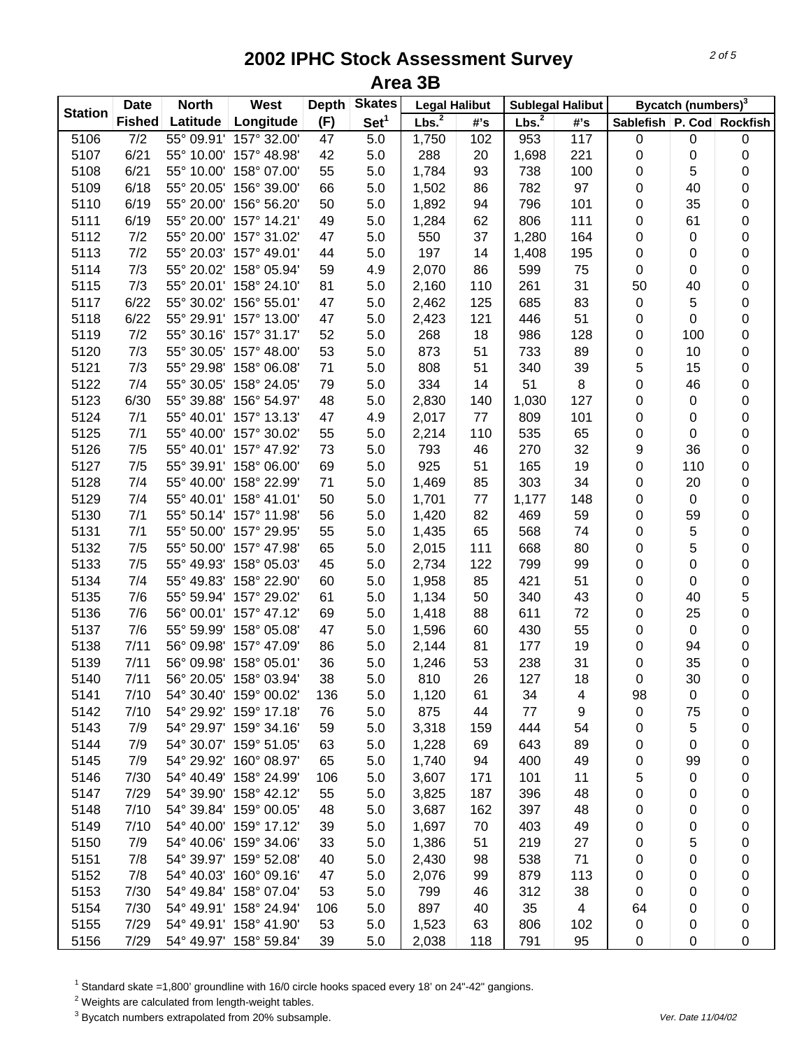| <b>Station</b> | <b>Date</b>   | <b>North</b> | West                   | <b>Depth</b> | <b>Skates</b>    | <b>Legal Halibut</b> |     |                   | <b>Sublegal Halibut</b> |                  | Bycatch (numbers) <sup>3</sup> |                 |
|----------------|---------------|--------------|------------------------|--------------|------------------|----------------------|-----|-------------------|-------------------------|------------------|--------------------------------|-----------------|
|                | <b>Fished</b> | Latitude     | Longitude              | (F)          | Set <sup>1</sup> | Lbs. <sup>2</sup>    | #'s | Lbs. <sup>2</sup> | #'s                     | <b>Sablefish</b> |                                | P. Cod Rockfish |
| 5106           | 7/2           |              | 55° 09.91' 157° 32.00' | 47           | 5.0              | 1,750                | 102 | 953               | 117                     | $\pmb{0}$        | 0                              | 0               |
| 5107           | 6/21          | 55° 10.00'   | 157° 48.98'            | 42           | 5.0              | 288                  | 20  | 1,698             | 221                     | 0                | 0                              | 0               |
| 5108           | 6/21          | 55° 10.00'   | 158° 07.00'            | 55           | 5.0              | 1,784                | 93  | 738               | 100                     | 0                | 5                              | 0               |
| 5109           | 6/18          | 55° 20.05'   | 156° 39.00'            | 66           | 5.0              | 1,502                | 86  | 782               | 97                      | 0                | 40                             | $\mathbf 0$     |
| 5110           | 6/19          | 55° 20.00'   | 156° 56.20'            | 50           | 5.0              | 1,892                | 94  | 796               | 101                     | 0                | 35                             | $\mathbf 0$     |
| 5111           | 6/19          | 55° 20.00'   | 157° 14.21'            | 49           | 5.0              | 1,284                | 62  | 806               | 111                     | 0                | 61                             | $\mathbf 0$     |
| 5112           | 7/2           | 55° 20.00'   | 157° 31.02'            | 47           | 5.0              | 550                  | 37  | 1,280             | 164                     | 0                | 0                              | $\mathbf 0$     |
| 5113           | 7/2           | 55° 20.03'   | 157° 49.01'            | 44           | 5.0              | 197                  | 14  | 1,408             | 195                     | 0                | 0                              | $\mathbf 0$     |
| 5114           | 7/3           | 55° 20.02'   | 158° 05.94'            | 59           | 4.9              | 2,070                | 86  | 599               | 75                      | 0                | 0                              | $\mathbf 0$     |
| 5115           | 7/3           |              | 55° 20.01' 158° 24.10' | 81           | 5.0              | 2,160                | 110 | 261               | 31                      | 50               | 40                             | 0               |
| 5117           | 6/22          |              | 55° 30.02' 156° 55.01' | 47           | 5.0              | 2,462                | 125 | 685               | 83                      | 0                | 5                              | 0               |
| 5118           | 6/22          |              | 55° 29.91' 157° 13.00' | 47           | 5.0              | 2,423                | 121 | 446               | 51                      | 0                | 0                              | 0               |
| 5119           | 7/2           |              | 55° 30.16' 157° 31.17' | 52           | 5.0              | 268                  | 18  | 986               | 128                     | 0                | 100                            | $\mathbf 0$     |
| 5120           | 7/3           |              | 55° 30.05' 157° 48.00' | 53           | 5.0              | 873                  | 51  | 733               | 89                      | 0                | 10                             | $\mathbf 0$     |
| 5121           | 7/3           |              | 55° 29.98' 158° 06.08' | 71           | 5.0              | 808                  | 51  | 340               | 39                      | 5                | 15                             | $\mathbf 0$     |
| 5122           | 7/4           | 55° 30.05'   | 158° 24.05'            | 79           | 5.0              | 334                  | 14  | 51                | $\bf 8$                 | 0                | 46                             | 0               |
| 5123           | 6/30          | 55° 39.88'   | 156° 54.97'            | 48           | 5.0              | 2,830                | 140 | 1,030             | 127                     | 0                | 0                              | 0               |
| 5124           | 7/1           |              | 55° 40.01' 157° 13.13' | 47           | 4.9              | 2,017                | 77  | 809               | 101                     | 0                | 0                              | 0               |
| 5125           | 7/1           | 55° 40.00'   | 157° 30.02'            | 55           | 5.0              | 2,214                | 110 | 535               | 65                      | 0                | 0                              | 0               |
| 5126           | 7/5           |              | 55° 40.01' 157° 47.92' | 73           | 5.0              | 793                  | 46  | 270               | 32                      | 9                | 36                             | $\mathbf 0$     |
| 5127           | 7/5           |              | 55° 39.91' 158° 06.00' | 69           | 5.0              | 925                  | 51  | 165               | 19                      | 0                | 110                            | $\mathbf 0$     |
| 5128           | 7/4           | 55° 40.00'   | 158° 22.99'            | 71           | 5.0              | 1,469                | 85  | 303               | 34                      | 0                | 20                             | $\mathbf 0$     |
| 5129           | 7/4           |              | 55° 40.01' 158° 41.01' | 50           | 5.0              | 1,701                | 77  | 1,177             | 148                     | 0                | 0                              | $\mathbf 0$     |
| 5130           | 7/1           |              | 55° 50.14' 157° 11.98' | 56           | 5.0              | 1,420                | 82  | 469               | 59                      | 0                | 59                             | $\mathbf 0$     |
| 5131           | 7/1           | 55° 50.00'   | 157° 29.95'            | 55           | 5.0              | 1,435                | 65  | 568               | 74                      | 0                | 5                              | $\pmb{0}$       |
| 5132           | 7/5           | 55° 50.00'   | 157° 47.98'            | 65           | 5.0              | 2,015                | 111 | 668               | 80                      | 0                | 5                              | 0               |
| 5133           | 7/5           |              | 55° 49.93' 158° 05.03' | 45           | 5.0              | 2,734                | 122 | 799               | 99                      | 0                | 0                              | $\mathbf 0$     |
| 5134           | 7/4           |              | 55° 49.83' 158° 22.90' | 60           | 5.0              | 1,958                |     | 421               | 51                      | 0                | 0                              | $\mathbf 0$     |
|                |               |              | 55° 59.94' 157° 29.02' |              |                  |                      | 85  |                   |                         |                  |                                |                 |
| 5135           | 7/6           |              | 56° 00.01' 157° 47.12' | 61           | 5.0              | 1,134                | 50  | 340               | 43                      | 0                | 40                             | 5               |
| 5136           | 7/6           |              |                        | 69           | 5.0              | 1,418                | 88  | 611               | 72                      | 0                | 25                             | $\mathbf 0$     |
| 5137           | 7/6           | 55° 59.99'   | 158° 05.08'            | 47           | 5.0              | 1,596                | 60  | 430               | 55                      | 0                | 0                              | $\mathbf 0$     |
| 5138           | 7/11          | 56° 09.98'   | 157° 47.09'            | 86           | 5.0              | 2,144                | 81  | 177               | 19                      | 0                | 94                             | 0               |
| 5139           | 7/11          | 56° 09.98'   | 158° 05.01'            | 36           | 5.0              | 1,246                | 53  | 238               | 31                      | 0                | 35                             | 0               |
| 5140           | 7/11          |              | 56° 20.05' 158° 03.94' | 38           | 5.0              | 810                  | 26  | 127               | 18                      | 0                | 30                             | $\mathbf 0$     |
| 5141           | 7/10          |              | 54° 30.40' 159° 00.02' | 136          | 5.0              | 1,120                | 61  | 34                | 4                       | 98               | 0                              | 0               |
| 5142           | 7/10          |              | 54° 29.92' 159° 17.18' | 76           | 5.0              | 875                  | 44  | 77                | 9                       | 0                | 75                             | 0               |
| 5143           | 7/9           |              | 54° 29.97' 159° 34.16' | 59           | 5.0              | 3,318                | 159 | 444               | 54                      | 0                | 5                              | 0               |
| 5144           | 7/9           |              | 54° 30.07' 159° 51.05' | 63           | 5.0              | 1,228                | 69  | 643               | 89                      | 0                | 0                              | 0               |
| 5145           | 7/9           |              | 54° 29.92' 160° 08.97' | 65           | 5.0              | 1,740                | 94  | 400               | 49                      | 0                | 99                             | 0               |
| 5146           | 7/30          |              | 54° 40.49' 158° 24.99' | 106          | 5.0              | 3,607                | 171 | 101               | 11                      | 5                | 0                              | 0               |
| 5147           | 7/29          |              | 54° 39.90' 158° 42.12' | 55           | 5.0              | 3,825                | 187 | 396               | 48                      | 0                | 0                              | 0               |
| 5148           | 7/10          |              | 54° 39.84' 159° 00.05' | 48           | 5.0              | 3,687                | 162 | 397               | 48                      | 0                | 0                              | 0               |
| 5149           | 7/10          |              | 54° 40.00' 159° 17.12' | 39           | 5.0              | 1,697                | 70  | 403               | 49                      | 0                | 0                              | 0               |
| 5150           | 7/9           |              | 54° 40.06' 159° 34.06' | 33           | 5.0              | 1,386                | 51  | 219               | 27                      | 0                | 5                              | 0               |
| 5151           | 7/8           |              | 54° 39.97' 159° 52.08' | 40           | 5.0              | 2,430                | 98  | 538               | 71                      | 0                | 0                              | 0               |
| 5152           | 7/8           |              | 54° 40.03' 160° 09.16' | 47           | 5.0              | 2,076                | 99  | 879               | 113                     | 0                | 0                              | 0               |
| 5153           | 7/30          |              | 54° 49.84' 158° 07.04' | 53           | 5.0              | 799                  | 46  | 312               | 38                      | 0                | 0                              | 0               |
| 5154           | 7/30          |              | 54° 49.91' 158° 24.94' | 106          | 5.0              | 897                  | 40  | 35                | 4                       | 64               | 0                              | 0               |
| 5155           | 7/29          |              | 54° 49.91' 158° 41.90' | 53           | 5.0              | 1,523                | 63  | 806               | 102                     | 0                | 0                              | 0               |
| 5156           | 7/29          |              | 54° 49.97' 158° 59.84' | 39           | 5.0              | 2,038                | 118 | 791               | 95                      | 0                | 0                              | 0               |

<sup>1</sup> Standard skate =1,800' groundline with 16/0 circle hooks spaced every 18' on 24"-42" gangions.

 $2$  Weights are calculated from length-weight tables.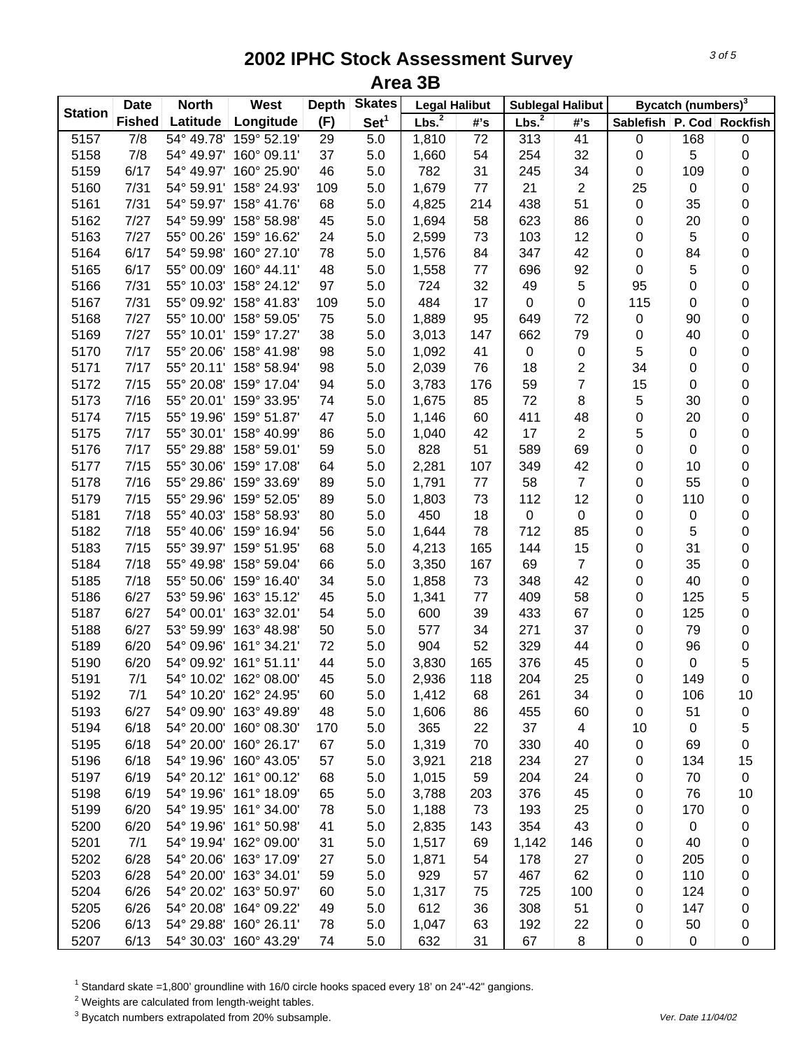| <b>Station</b> | <b>Date</b>   | <b>North</b> | <b>West</b>            | <b>Depth</b> | <b>Skates</b>    | <b>Legal Halibut</b> |     |                   | <b>Sublegal Halibut</b> |                  | Bycatch (numbers) <sup>3</sup> |                 |
|----------------|---------------|--------------|------------------------|--------------|------------------|----------------------|-----|-------------------|-------------------------|------------------|--------------------------------|-----------------|
|                | <b>Fished</b> | Latitude     | Longitude              | (F)          | Set <sup>1</sup> | Lbs. <sup>2</sup>    | #'s | Lbs. <sup>2</sup> | #'s                     | <b>Sablefish</b> |                                | P. Cod Rockfish |
| 5157           | 7/8           | 54° 49.78'   | 159° 52.19'            | 29           | $5.0\,$          | 1,810                | 72  | 313               | 41                      | 0                | 168                            | $\pmb{0}$       |
| 5158           | 7/8           |              | 54° 49.97' 160° 09.11' | 37           | $5.0\,$          | 1,660                | 54  | 254               | 32                      | 0                | 5                              | $\pmb{0}$       |
| 5159           | 6/17          |              | 54° 49.97' 160° 25.90' | 46           | 5.0              | 782                  | 31  | 245               | 34                      | 0                | 109                            | 0               |
| 5160           | 7/31          |              | 54° 59.91' 158° 24.93' | 109          | 5.0              | 1,679                | 77  | 21                | $\overline{2}$          | 25               | $\pmb{0}$                      | 0               |
| 5161           | 7/31          |              | 54° 59.97' 158° 41.76' | 68           | 5.0              | 4,825                | 214 | 438               | 51                      | $\pmb{0}$        | 35                             | 0               |
| 5162           | 7/27          | 54° 59.99'   | 158° 58.98'            | 45           | 5.0              | 1,694                | 58  | 623               | 86                      | $\pmb{0}$        | 20                             | 0               |
| 5163           | 7/27          | 55° 00.26'   | 159° 16.62'            | 24           | 5.0              | 2,599                | 73  | 103               | 12                      | $\pmb{0}$        | 5                              | 0               |
| 5164           | 6/17          | 54° 59.98'   | 160° 27.10'            | 78           | 5.0              | 1,576                | 84  | 347               | 42                      | $\pmb{0}$        | 84                             | 0               |
| 5165           | 6/17          | 55° 00.09'   | 160° 44.11'            | 48           | 5.0              | 1,558                | 77  | 696               | 92                      | $\pmb{0}$        | 5                              | 0               |
| 5166           | 7/31          | 55° 10.03'   | 158° 24.12'            | 97           | 5.0              | 724                  | 32  | 49                | 5                       | 95               | 0                              | 0               |
| 5167           | 7/31          |              | 55° 09.92' 158° 41.83' | 109          | 5.0              | 484                  | 17  | 0                 | 0                       | 115              | 0                              | 0               |
| 5168           | 7/27          |              | 55° 10.00' 158° 59.05' | 75           | 5.0              | 1,889                | 95  | 649               | 72                      | 0                | 90                             | 0               |
| 5169           | 7/27          |              | 55° 10.01' 159° 17.27' | 38           | 5.0              | 3,013                | 147 | 662               | 79                      | 0                | 40                             | 0               |
| 5170           | 7/17          |              | 55° 20.06' 158° 41.98' | 98           | 5.0              | 1,092                | 41  | 0                 | 0                       | 5                | 0                              | 0               |
| 5171           | 7/17          |              | 55° 20.11' 158° 58.94' | 98           | 5.0              | 2,039                | 76  | 18                | 2                       | 34               | $\pmb{0}$                      | 0               |
| 5172           | 7/15          |              | 55° 20.08' 159° 17.04' | 94           | 5.0              | 3,783                | 176 | 59                | $\overline{7}$          | 15               | 0                              | 0               |
| 5173           | 7/16          |              | 55° 20.01' 159° 33.95' | 74           | 5.0              | 1,675                | 85  | 72                | 8                       | 5                | 30                             | 0               |
| 5174           | 7/15          | 55° 19.96'   | 159° 51.87'            | 47           | 5.0              | 1,146                | 60  | 411               | 48                      | 0                | 20                             | 0               |
| 5175           | 7/17          |              | 55° 30.01' 158° 40.99' | 86           | 5.0              | 1,040                | 42  | 17                | $\overline{2}$          | 5                | $\pmb{0}$                      | 0               |
| 5176           | 7/17          | 55° 29.88'   | 158° 59.01'            | 59           | 5.0              | 828                  | 51  | 589               | 69                      | 0                | 0                              | 0               |
| 5177           | 7/15          |              | 55° 30.06' 159° 17.08' | 64           | 5.0              | 2,281                | 107 | 349               | 42                      | 0                | 10                             | 0               |
| 5178           | 7/16          | 55° 29.86'   | 159° 33.69'            | 89           | 5.0              | 1,791                | 77  | 58                | $\overline{7}$          | $\pmb{0}$        | 55                             | 0               |
| 5179           | 7/15          | 55° 29.96'   | 159° 52.05'            | 89           | 5.0              | 1,803                | 73  | 112               | 12                      | $\pmb{0}$        | 110                            | 0               |
| 5181           | 7/18          | 55° 40.03'   | 158° 58.93'            | 80           | 5.0              | 450                  | 18  | $\mathbf 0$       | 0                       | $\pmb{0}$        | $\,0\,$                        | 0               |
| 5182           | 7/18          | 55° 40.06'   | 159° 16.94'            | 56           | 5.0              | 1,644                | 78  | 712               | 85                      | 0                | 5                              | 0               |
| 5183           | 7/15          |              | 55° 39.97' 159° 51.95' | 68           | 5.0              | 4,213                | 165 | 144               | 15                      | 0                | 31                             | 0               |
| 5184           | 7/18          |              | 55° 49.98' 158° 59.04' | 66           | 5.0              | 3,350                | 167 | 69                | $\overline{7}$          | 0                | 35                             | 0               |
| 5185           | 7/18          |              | 55° 50.06' 159° 16.40' | 34           | 5.0              | 1,858                | 73  | 348               | 42                      | 0                | 40                             | 0               |
| 5186           | 6/27          |              | 53° 59.96' 163° 15.12' | 45           | 5.0              | 1,341                | 77  | 409               | 58                      | 0                | 125                            | 5               |
| 5187           | 6/27          |              | 54° 00.01' 163° 32.01' | 54           | 5.0              | 600                  | 39  | 433               | 67                      | 0                | 125                            | 0               |
| 5188           | 6/27          |              | 53° 59.99' 163° 48.98' | 50           | $5.0\,$          | 577                  | 34  | 271               | 37                      | 0                | 79                             | 0               |
| 5189           | 6/20          | 54° 09.96'   | 161° 34.21'            | 72           | 5.0              | 904                  | 52  | 329               | 44                      | 0                | 96                             | 0               |
| 5190           | 6/20          |              | 54° 09.92' 161° 51.11' | 44           | 5.0              | 3,830                | 165 | 376               | 45                      | 0                | 0                              | 5               |
| 5191           | 7/1           |              | 54° 10.02' 162° 08.00' | 45           | 5.0              | 2,936                | 118 | 204               | 25                      | 0                | 149                            | 0               |
| 5192           | 7/1           |              | 54° 10.20' 162° 24.95' | 60           | 5.0              | 1,412                | 68  | 261               | 34                      | 0                | 106                            | 10              |
| 5193           | 6/27          |              | 54° 09.90' 163° 49.89' | 48           | 5.0              | 1,606                | 86  | 455               | 60                      | 0                | 51                             | 0               |
| 5194           | 6/18          |              | 54° 20.00' 160° 08.30' | 170          | 5.0              | 365                  | 22  | 37                | 4                       | 10               | 0                              | 5               |
| 5195           | 6/18          |              | 54° 20.00' 160° 26.17' | 67           | 5.0              | 1,319                | 70  | 330               | 40                      | 0                | 69                             | 0               |
| 5196           | 6/18          |              | 54° 19.96' 160° 43.05' | 57           | 5.0              | 3,921                | 218 | 234               | 27                      | 0                | 134                            | 15              |
| 5197           | 6/19          |              | 54° 20.12' 161° 00.12' | 68           | 5.0              | 1,015                | 59  | 204               | 24                      | 0                | 70                             | $\pmb{0}$       |
| 5198           | 6/19          |              | 54° 19.96' 161° 18.09' | 65           | 5.0              | 3,788                | 203 | 376               | 45                      | 0                | 76                             | 10              |
| 5199           | 6/20          |              | 54° 19.95' 161° 34.00' | 78           | 5.0              | 1,188                | 73  | 193               | 25                      | 0                | 170                            | 0               |
| 5200           | 6/20          |              | 54° 19.96' 161° 50.98' | 41           | 5.0              | 2,835                | 143 | 354               | 43                      | 0                | 0                              | 0               |
| 5201           | 7/1           |              | 54° 19.94' 162° 09.00' | 31           | 5.0              | 1,517                | 69  | 1,142             | 146                     | 0                | 40                             | 0               |
| 5202           | 6/28          |              | 54° 20.06' 163° 17.09' | 27           | 5.0              | 1,871                | 54  | 178               | 27                      | 0                | 205                            | 0               |
| 5203           | 6/28          |              | 54° 20.00' 163° 34.01' | 59           | 5.0              | 929                  | 57  | 467               | 62                      | 0                | 110                            | 0               |
| 5204           | 6/26          |              | 54° 20.02' 163° 50.97' | 60           | 5.0              | 1,317                | 75  | 725               | 100                     | 0                | 124                            | 0               |
| 5205           | 6/26          |              | 54° 20.08' 164° 09.22' | 49           | 5.0              | 612                  | 36  | 308               | 51                      | 0                | 147                            | 0               |
| 5206           | 6/13          |              | 54° 29.88' 160° 26.11' | 78           | 5.0              | 1,047                | 63  | 192               | 22                      | 0                | 50                             | 0               |
| 5207           | 6/13          |              | 54° 30.03' 160° 43.29' | 74           | $5.0\,$          | 632                  | 31  | 67                | 8                       | 0                | 0                              | $\pmb{0}$       |
|                |               |              |                        |              |                  |                      |     |                   |                         |                  |                                |                 |

<sup>1</sup> Standard skate =1,800' groundline with 16/0 circle hooks spaced every 18' on 24"-42" gangions.

 $2$  Weights are calculated from length-weight tables.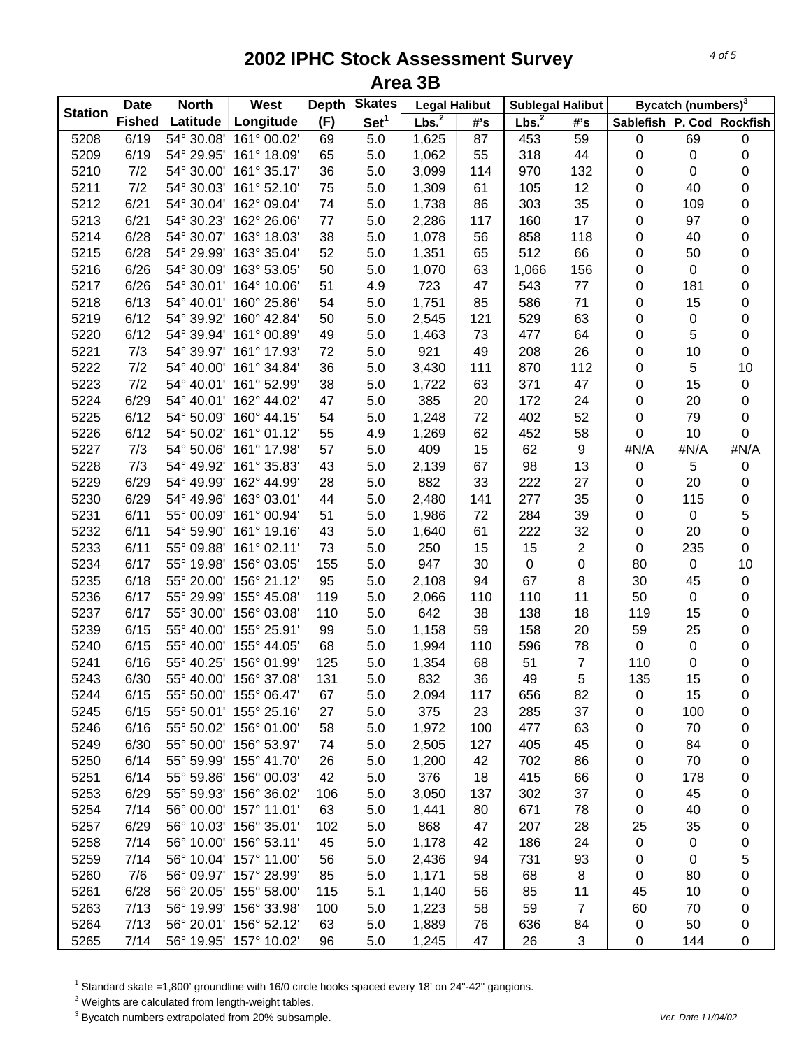| <b>Station</b> | <b>Date</b>   | <b>North</b> | West                   | <b>Depth</b> | <b>Skates</b>    | <b>Legal Halibut</b> |     |                   | <b>Sublegal Halibut</b> |                  | Bycatch (numbers) <sup>3</sup> |                 |
|----------------|---------------|--------------|------------------------|--------------|------------------|----------------------|-----|-------------------|-------------------------|------------------|--------------------------------|-----------------|
|                | <b>Fished</b> | Latitude     | Longitude              | (F)          | Set <sup>1</sup> | Lbs. <sup>2</sup>    | #'s | Lbs. <sup>2</sup> | #'s                     | <b>Sablefish</b> |                                | P. Cod Rockfish |
| 5208           | 6/19          | 54° 30.08'   | 161° 00.02'            | 69           | 5.0              | 1,625                | 87  | 453               | 59                      | 0                | 69                             | $\pmb{0}$       |
| 5209           | 6/19          |              | 54° 29.95' 161° 18.09' | 65           | $5.0\,$          | 1,062                | 55  | 318               | 44                      | $\pmb{0}$        | $\pmb{0}$                      | 0               |
| 5210           | 7/2           | 54° 30.00'   | 161° 35.17'            | 36           | 5.0              | 3,099                | 114 | 970               | 132                     | 0                | $\pmb{0}$                      | 0               |
| 5211           | 7/2           | 54° 30.03'   | 161° 52.10'            | 75           | 5.0              | 1,309                | 61  | 105               | 12                      | 0                | 40                             | 0               |
| 5212           | 6/21          |              | 54° 30.04' 162° 09.04' | 74           | 5.0              | 1,738                | 86  | 303               | 35                      | $\pmb{0}$        | 109                            | 0               |
| 5213           | 6/21          | 54° 30.23'   | 162° 26.06'            | 77           | 5.0              | 2,286                | 117 | 160               | 17                      | $\pmb{0}$        | 97                             | 0               |
| 5214           | 6/28          |              | 54° 30.07' 163° 18.03' | 38           | 5.0              | 1,078                | 56  | 858               | 118                     | $\pmb{0}$        | 40                             | 0               |
| 5215           | 6/28          | 54° 29.99'   | 163° 35.04'            | 52           | 5.0              | 1,351                | 65  | 512               | 66                      | $\pmb{0}$        | 50                             | 0               |
| 5216           | 6/26          | 54° 30.09'   | 163° 53.05'            | 50           | 5.0              | 1,070                | 63  | 1,066             | 156                     | 0                | $\,0\,$                        | 0               |
| 5217           | 6/26          |              | 54° 30.01' 164° 10.06' | 51           | 4.9              | 723                  | 47  | 543               | 77                      | 0                | 181                            | 0               |
| 5218           | 6/13          |              | 54° 40.01' 160° 25.86' | 54           | 5.0              | 1,751                | 85  | 586               | 71                      | 0                | 15                             | 0               |
| 5219           | 6/12          |              | 54° 39.92' 160° 42.84' | 50           | 5.0              | 2,545                | 121 | 529               | 63                      | 0                | $\,0\,$                        | 0               |
| 5220           | 6/12          |              | 54° 39.94' 161° 00.89' | 49           | 5.0              | 1,463                | 73  | 477               | 64                      | 0                | 5                              | 0               |
| 5221           | 7/3           |              | 54° 39.97' 161° 17.93' | 72           | 5.0              | 921                  | 49  | 208               | 26                      | 0                | 10                             | 0               |
| 5222           | 7/2           |              | 54° 40.00' 161° 34.84' | 36           | 5.0              | 3,430                | 111 | 870               | 112                     | 0                | 5                              | 10              |
| 5223           | 7/2           |              | 54° 40.01' 161° 52.99' | 38           | 5.0              | 1,722                | 63  | 371               | 47                      | 0                | 15                             | $\pmb{0}$       |
| 5224           | 6/29          |              | 54° 40.01' 162° 44.02' | 47           | 5.0              | 385                  | 20  | 172               | 24                      | 0                | 20                             | 0               |
| 5225           | 6/12          | 54° 50.09'   | 160° 44.15'            | 54           | 5.0              | 1,248                | 72  | 402               | 52                      | 0                | 79                             | 0               |
| 5226           | 6/12          |              | 54° 50.02' 161° 01.12' | 55           | 4.9              | 1,269                | 62  | 452               | 58                      | $\pmb{0}$        | 10                             | 0               |
| 5227           | 7/3           |              | 54° 50.06' 161° 17.98' | 57           | $5.0\,$          | 409                  | 15  | 62                | 9                       | #N/A             | #N/A                           | #N/A            |
| 5228           | 7/3           |              | 54° 49.92' 161° 35.83' | 43           | 5.0              | 2,139                | 67  | 98                | 13                      | $\pmb{0}$        | 5                              | $\pmb{0}$       |
| 5229           | 6/29          |              | 54° 49.99' 162° 44.99' | 28           | 5.0              | 882                  | 33  | 222               | 27                      | $\pmb{0}$        | 20                             | $\mathbf 0$     |
| 5230           | 6/29          | 54° 49.96'   | 163° 03.01'            | 44           | 5.0              | 2,480                | 141 | 277               | 35                      | $\pmb{0}$        | 115                            | $\mathbf 0$     |
| 5231           | 6/11          | 55° 00.09'   | 161° 00.94'            | 51           | 5.0              | 1,986                | 72  | 284               | 39                      | $\pmb{0}$        | $\,0\,$                        | 5               |
| 5232           | 6/11          | 54° 59.90'   | 161° 19.16'            | 43           | 5.0              | 1,640                | 61  | 222               | 32                      | $\pmb{0}$        | 20                             | 0               |
| 5233           | 6/11          | 55° 09.88'   | 161° 02.11'            | 73           | 5.0              | 250                  | 15  | 15                | $\overline{c}$          | $\pmb{0}$        | 235                            | 0               |
| 5234           | 6/17          |              | 55° 19.98' 156° 03.05' | 155          | 5.0              | 947                  | 30  | $\,0\,$           | 0                       | 80               | $\,0\,$                        | 10              |
| 5235           | 6/18          |              | 55° 20.00' 156° 21.12' | 95           | 5.0              | 2,108                | 94  | 67                | 8                       | 30               | 45                             | $\pmb{0}$       |
| 5236           | 6/17          |              | 55° 29.99' 155° 45.08' | 119          | 5.0              | 2,066                | 110 | 110               | 11                      | 50               | $\,0\,$                        | 0               |
| 5237           | 6/17          |              | 55° 30.00' 156° 03.08' | 110          | 5.0              | 642                  | 38  | 138               | 18                      | 119              | 15                             | 0               |
| 5239           | 6/15          |              | 55° 40.00' 155° 25.91' | 99           | 5.0              | 1,158                | 59  | 158               | 20                      | 59               | 25                             | 0               |
| 5240           | 6/15          |              | 55° 40.00' 155° 44.05' | 68           | 5.0              | 1,994                | 110 | 596               | 78                      | $\pmb{0}$        | $\pmb{0}$                      | 0               |
| 5241           | 6/16          | 55° 40.25'   | 156° 01.99'            | 125          | 5.0              | 1,354                | 68  | 51                | $\overline{7}$          | 110              | 0                              | 0               |
| 5243           | 6/30          |              | 55° 40.00' 156° 37.08' | 131          | 5.0              | 832                  | 36  | 49                | 5                       | 135              | 15                             | 0               |
| 5244           | 6/15          |              | 55° 50.00' 155° 06.47' | 67           | 5.0              | 2,094                | 117 | 656               | 82                      | 0                | 15                             | 0               |
| 5245           | 6/15          |              | 55° 50.01' 155° 25.16' | 27           | 5.0              | 375                  | 23  | 285               | 37                      | 0                | 100                            | 0               |
| 5246           | 6/16          |              | 55° 50.02' 156° 01.00' | 58           | 5.0              | 1,972                | 100 | 477               | 63                      | 0                | 70                             | 0               |
| 5249           | 6/30          |              | 55° 50.00' 156° 53.97' | 74           | 5.0              | 2,505                | 127 | 405               | 45                      | 0                | 84                             | 0               |
| 5250           | 6/14          |              | 55° 59.99' 155° 41.70' | 26           | 5.0              | 1,200                | 42  | 702               | 86                      | 0                | 70                             | 0               |
| 5251           | 6/14          |              | 55° 59.86' 156° 00.03' | 42           | 5.0              | 376                  | 18  | 415               | 66                      | 0                | 178                            | 0               |
| 5253           | 6/29          |              | 55° 59.93' 156° 36.02' |              | 5.0              | 3,050                | 137 | 302               | 37                      |                  | 45                             |                 |
|                |               |              |                        | 106          |                  |                      |     |                   |                         | 0                |                                | 0               |
| 5254           | 7/14          |              | 56° 00.00' 157° 11.01' | 63           | 5.0              | 1,441                | 80  | 671               | 78                      | 0                | 40                             | 0               |
| 5257           | 6/29          |              | 56° 10.03' 156° 35.01' | 102          | 5.0              | 868                  | 47  | 207               | 28                      | 25               | 35                             | 0               |
| 5258           | 7/14          |              | 56° 10.00' 156° 53.11' | 45           | 5.0              | 1,178                | 42  | 186               | 24                      | 0                | 0                              | $\mathbf 0$     |
| 5259           | 7/14          |              | 56° 10.04' 157° 11.00' | 56           | 5.0              | 2,436                | 94  | 731               | 93                      | 0                | 0                              | 5               |
| 5260           | 7/6           |              | 56° 09.97' 157° 28.99' | 85           | 5.0              | 1,171                | 58  | 68                | 8                       | 0                | 80                             | 0               |
| 5261           | 6/28          |              | 56° 20.05' 155° 58.00' | 115          | 5.1              | 1,140                | 56  | 85                | 11                      | 45               | 10                             | 0               |
| 5263           | 7/13          |              | 56° 19.99' 156° 33.98' | 100          | 5.0              | 1,223                | 58  | 59                | $\overline{7}$          | 60               | 70                             | 0               |
| 5264           | 7/13          |              | 56° 20.01' 156° 52.12' | 63           | 5.0              | 1,889                | 76  | 636               | 84                      | 0                | 50                             | 0               |
| 5265           | 7/14          |              | 56° 19.95' 157° 10.02' | 96           | 5.0              | 1,245                | 47  | 26                | 3                       | 0                | 144                            | 0               |

<sup>1</sup> Standard skate =1,800' groundline with 16/0 circle hooks spaced every 18' on 24"-42" gangions.

 $2$  Weights are calculated from length-weight tables.